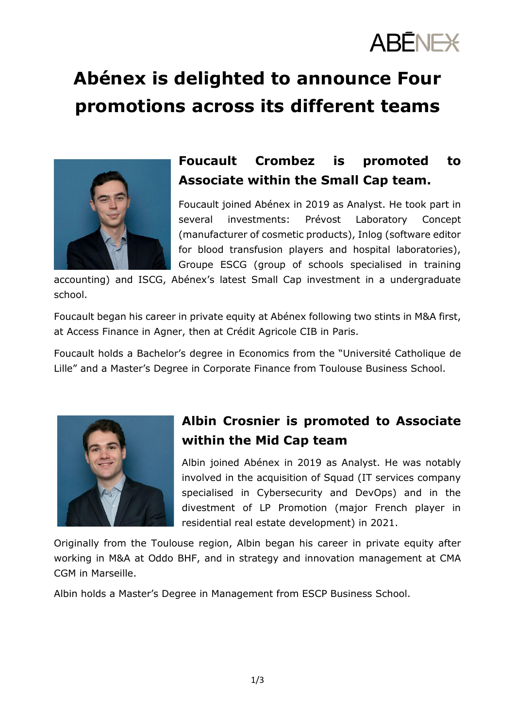

# **Abénex is delighted to announce Four promotions across its different teams**



## **Foucault Crombez is promoted to Associate within the Small Cap team.**

Foucault joined Abénex in 2019 as Analyst. He took part in several investments: Prévost Laboratory Concept (manufacturer of cosmetic products), Inlog (software editor for blood transfusion players and hospital laboratories), Groupe ESCG (group of schools specialised in training

accounting) and ISCG, Abénex's latest Small Cap investment in a undergraduate school.

Foucault began his career in private equity at Abénex following two stints in M&A first, at Access Finance in Agner, then at Crédit Agricole CIB in Paris.

Foucault holds a Bachelor's degree in Economics from the "Université Catholique de Lille" and a Master's Degree in Corporate Finance from Toulouse Business School.



### **Albin Crosnier is promoted to Associate within the Mid Cap team**

Albin joined Abénex in 2019 as Analyst. He was notably involved in the acquisition of Squad (IT services company specialised in Cybersecurity and DevOps) and in the divestment of LP Promotion (major French player in residential real estate development) in 2021.

Originally from the Toulouse region, Albin began his career in private equity after working in M&A at Oddo BHF, and in strategy and innovation management at CMA CGM in Marseille.

Albin holds a Master's Degree in Management from ESCP Business School.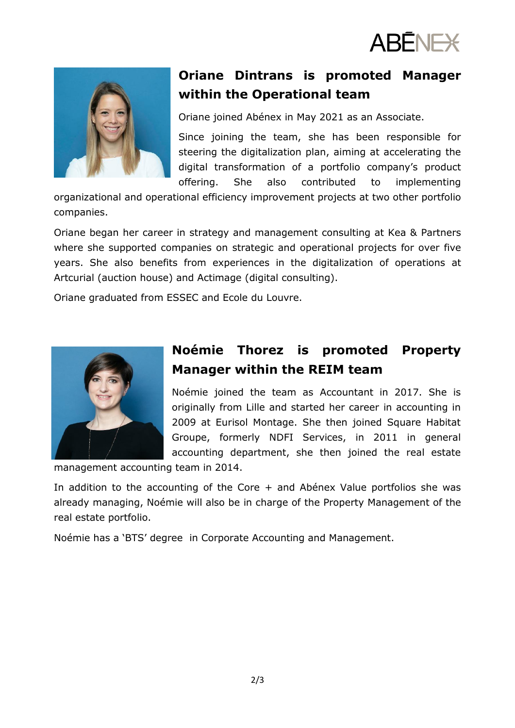



### **Oriane Dintrans is promoted Manager within the Operational team**

Oriane joined Abénex in May 2021 as an Associate.

Since joining the team, she has been responsible for steering the digitalization plan, aiming at accelerating the digital transformation of a portfolio company's product offering. She also contributed to implementing

organizational and operational efficiency improvement projects at two other portfolio companies.

Oriane began her career in strategy and management consulting at Kea & Partners where she supported companies on strategic and operational projects for over five years. She also benefits from experiences in the digitalization of operations at Artcurial (auction house) and Actimage (digital consulting).

Oriane graduated from ESSEC and Ecole du Louvre.



#### **Noémie Thorez is promoted Property Manager within the REIM team**

Noémie joined the team as Accountant in 2017. She is originally from Lille and started her career in accounting in 2009 at Eurisol Montage. She then joined Square Habitat Groupe, formerly NDFI Services, in 2011 in general accounting department, she then joined the real estate

management accounting team in 2014.

In addition to the accounting of the Core + and Abénex Value portfolios she was already managing, Noémie will also be in charge of the Property Management of the real estate portfolio.

Noémie has a 'BTS' degree in Corporate Accounting and Management.